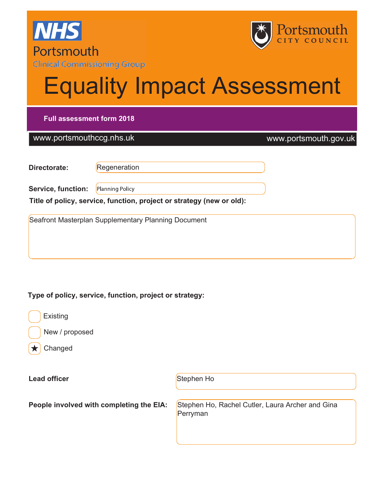



# Equality Impact Assessment

#### Full assessment form 2018

#### www.portsmouthccg.nhs.uk www.portsmouth.gov.uk

| Directorate: | Regeneration |
|--------------|--------------|
|              |              |

Service, function: Planning Policy

Title of policy, service, function, project or strategy (new or old):

Seafront Masterplan Supplementary Planning Document

Type of policy, service, function, project or strategy:



New / proposed

Changed

Lead officer Stephen Ho

People involved with completing the EIA: Stephen Ho, Rachel Cutler, Laura Archer and Gina Perryman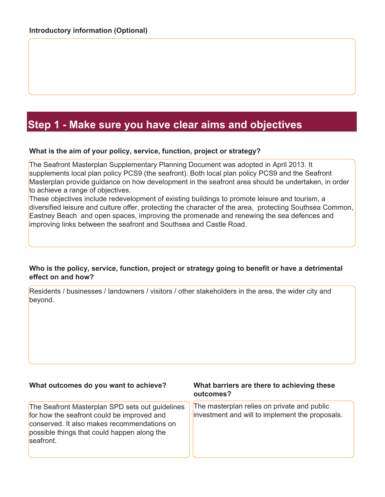## Step 1 - Make sure you have clear aims and objectives

#### What is the aim of your policy, service, function, project or strategy?

The Seafront Masterplan Supplementary Planning Document was adopted in April 2013. It supplements local plan policy PCS9 (the seafront). Both local plan policy PCS9 and the Seafront Masterplan provide guidance on how development in the seafront area should be undertaken, in order to achieve a range of objectives.

These objectives include redevelopment of existing buildings to promote leisure and tourism, a diversified leisure and culture offer, protecting the character of the area, protecting Southsea Common, Eastney Beach and open spaces, improving the promenade and renewing the sea defences and improving links between the seafront and Southsea and Castle Road.

#### Who is the policy, service, function, project or strategy going to benefit or have a detrimental effect on and how?

Residents / businesses / landowners / visitors / other stakeholders in the area, the wider city and beyond.

#### What outcomes do you want to achieve?

The Seafront Masterplan SPD sets out guidelines for how the seafront could be improved and conserved. It also makes recommendations on possible things that could happen along the seafront.

#### What barriers are there to achieving these outcomes?

The masterplan relies on private and public investment and will to implement the proposals.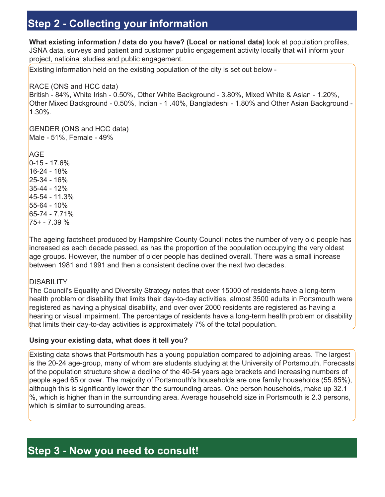# Step 2 - Collecting your information

What existing information / data do you have? (Local or national data) look at population profiles, JSNA data, surveys and patient and customer public engagement activity locally that will inform your project, natioinal studies and public engagement.

Existing information held on the existing population of the city is set out below -

#### RACE (ONS and HCC data)

British - 84%, White Irish - 0.50%, Other White Background - 3.80%, Mixed White & Asian - 1.20%, Other Mixed Background - 0.50%, Indian - 1 .40%, Bangladeshi - 1.80% and Other Asian Background - 1.30%.

GENDER (ONS and HCC data) Male - 51%, Female - 49%

AGE 0-15 - 17.6% 16-24 - 18% 25-34 - 16% 35-44 - 12% 45-54 - 11.3% 55-64 - 10% 65-74 - 7.71% 75+ - 7.39 %

The ageing factsheet produced by Hampshire County Council notes the number of very old people has increased as each decade passed, as has the proportion of the population occupying the very oldest age groups. However, the number of older people has declined overall. There was a small increase between 1981 and 1991 and then a consistent decline over the next two decades.

#### **DISABILITY**

The Council's Equality and Diversity Strategy notes that over 15000 of residents have a long-term health problem or disability that limits their day-to-day activities, almost 3500 adults in Portsmouth were registered as having a physical disability, and over over 2000 residents are registered as having a hearing or visual impairment. The percentage of residents have a long-term health problem or disability that limits their day-to-day activities is approximately 7% of the total population.

#### Using your existing data, what does it tell you?

Existing data shows that Portsmouth has a young population compared to adjoining areas. The largest is the 20-24 age-group, many of whom are students studying at the University of Portsmouth. Forecasts of the population structure show a decline of the 40-54 years age brackets and increasing numbers of people aged 65 or over. The majority of Portsmouth's households are one family households (55.85%), although this is significantly lower than the surrounding areas. One person households, make up 32.1 %, which is higher than in the surrounding area. Average household size in Portsmouth is 2.3 persons, which is similar to surrounding areas.

## Step 3 - Now you need to consult!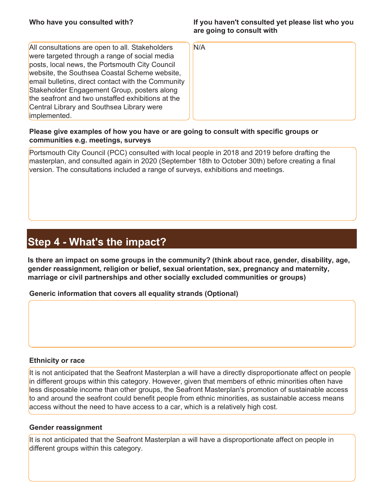#### If you haven't consulted yet please list who you are going to consult with

| All consultations are open to all. Stakeholders    |
|----------------------------------------------------|
| were targeted through a range of social media      |
| posts, local news, the Portsmouth City Council     |
| website, the Southsea Coastal Scheme website,      |
| email bulletins, direct contact with the Community |
| Stakeholder Engagement Group, posters along        |
| the seafront and two unstaffed exhibitions at the  |
| Central Library and Southsea Library were          |
| implemented.                                       |

N/A

#### Please give examples of how you have or are going to consult with specific groups or communities e.g. meetings, surveys

Portsmouth City Council (PCC) consulted with local people in 2018 and 2019 before drafting the masterplan, and consulted again in 2020 (September 18th to October 30th) before creating a final version. The consultations included a range of surveys, exhibitions and meetings.

## Step 4 - What's the impact?

Is there an impact on some groups in the community? (think about race, gender, disability, age, gender reassignment, religion or belief, sexual orientation, sex, pregnancy and maternity, marriage or civil partnerships and other socially excluded communities or groups)

Generic information that covers all equality strands (Optional)

#### Ethnicity or race

It is not anticipated that the Seafront Masterplan a will have a directly disproportionate affect on people in different groups within this category. However, given that members of ethnic minorities often have less disposable income than other groups, the Seafront Masterplan's promotion of sustainable access to and around the seafront could benefit people from ethnic minorities, as sustainable access means access without the need to have access to a car, which is a relatively high cost.

#### Gender reassignment

It is not anticipated that the Seafront Masterplan a will have a disproportionate affect on people in different groups within this category.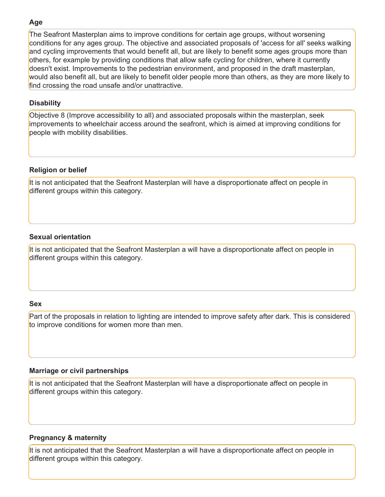#### Age

The Seafront Masterplan aims to improve conditions for certain age groups, without worsening conditions for any ages group. The objective and associated proposals of 'access for all' seeks walking and cycling improvements that would benefit all, but are likely to benefit some ages groups more than others, for example by providing conditions that allow safe cycling for children, where it currently doesn't exist. Improvements to the pedestrian environment, and proposed in the draft masterplan, would also benefit all, but are likely to benefit older people more than others, as they are more likely to find crossing the road unsafe and/or unattractive.

#### **Disability**

Objective 8 (Improve accessibility to all) and associated proposals within the masterplan, seek improvements to wheelchair access around the seafront, which is aimed at improving conditions for people with mobility disabilities.

#### Religion or belief

It is not anticipated that the Seafront Masterplan will have a disproportionate affect on people in different groups within this category.

#### Sexual orientation

It is not anticipated that the Seafront Masterplan a will have a disproportionate affect on people in different groups within this category.

#### Sex

Part of the proposals in relation to lighting are intended to improve safety after dark. This is considered to improve conditions for women more than men.

#### Marriage or civil partnerships

It is not anticipated that the Seafront Masterplan will have a disproportionate affect on people in different groups within this category.

#### Pregnancy & maternity

It is not anticipated that the Seafront Masterplan a will have a disproportionate affect on people in different groups within this category.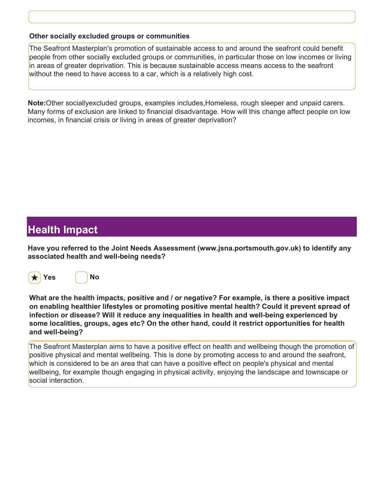#### Other socially excluded groups or communities

The Seafront Masterplan's promotion of sustainable access to and around the seafront could benefit people from other socially excluded groups or communities, in particular those on low incomes or living in areas of greater deprivation. This is because sustainable access means access to the seafront without the need to have access to a car, which is a relatively high cost.

Note: Other sociallyexcluded groups, examples includes, Homeless, rough sleeper and unpaid carers. Many forms of exclusion are linked to financial disadvantage. How will this change affect people on low incomes, in financial crisis or living in areas of greater deprivation?

### Health Impact

Have you referred to the Joint Needs Assessment (www.jsna.portsmouth.gov.uk) to identify any associated health and well-being needs?





What are the health impacts, positive and / or negative? For example, is there a positive impact on enabling healthier lifestyles or promoting positive mental health? Could it prevent spread of infection or disease? Will it reduce any inequalities in health and well-being experienced by some localities, groups, ages etc? On the other hand, could it restrict opportunities for health and well-being?

The Seafront Masterplan aims to have a positive effect on health and wellbeing though the promotion of positive physical and mental wellbeing. This is done by promoting access to and around the seafront, which is considered to be an area that can have a positive effect on people's physical and mental wellbeing, for example though engaging in physical activity, enjoying the landscape and townscape or social interaction.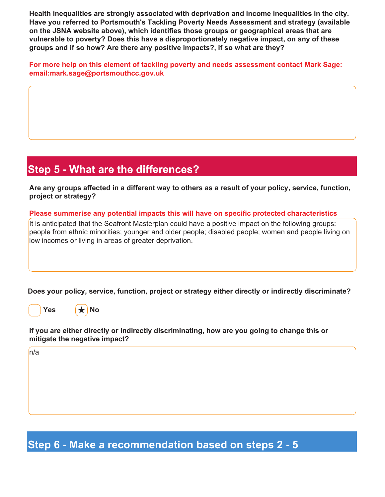Health inequalities are strongly associated with deprivation and income inequalities in the city. Have you referred to Portsmouth's Tackling Poverty Needs Assessment and strategy (available on the JSNA website above), which identifies those groups or geographical areas that are vulnerable to poverty? Does this have a disproportionately negative impact, on any of these groups and if so how? Are there any positive impacts?, if so what are they?

For more help on this element of tackling poverty and needs assessment contact Mark Sage: email:mark.sage@portsmouthcc.gov.uk

# Step 5 - What are the differences?

Are any groups affected in a different way to others as a result of your policy, service, function, project or strategy?

#### Please summerise any potential impacts this will have on specific protected characteristics

It is anticipated that the Seafront Masterplan could have a positive impact on the following groups: people from ethnic minorities; younger and older people; disabled people; women and people living on low incomes or living in areas of greater deprivation.

Does your policy, service, function, project or strategy either directly or indirectly discriminate?

Yes  $\left|\star\right|$  No

If you are either directly or indirectly discriminating, how are you going to change this or mitigate the negative impact?

n/a

Step 6 - Make a recommendation based on steps 2 - 5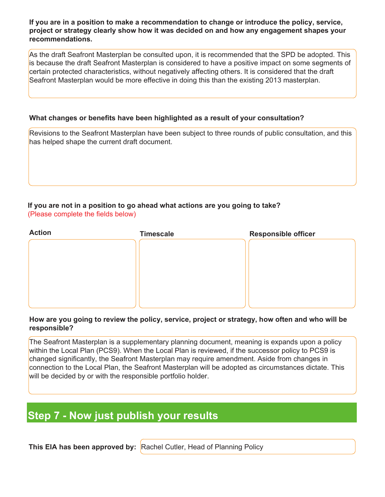If you are in a position to make a recommendation to change or introduce the policy, service, project or strategy clearly show how it was decided on and how any engagement shapes your recommendations.

As the draft Seafront Masterplan be consulted upon, it is recommended that the SPD be adopted. This is because the draft Seafront Masterplan is considered to have a positive impact on some segments of certain protected characteristics, without negatively affecting others. It is considered that the draft Seafront Masterplan would be more effective in doing this than the existing 2013 masterplan.

#### What changes or benefits have been highlighted as a result of your consultation?

Revisions to the Seafront Masterplan have been subject to three rounds of public consultation, and this has helped shape the current draft document.

#### If you are not in a position to go ahead what actions are you going to take? (Please complete the fields below)

| <b>Action</b> | <b>Timescale</b> | <b>Responsible officer</b> |
|---------------|------------------|----------------------------|
|               |                  |                            |
|               |                  |                            |
|               |                  |                            |
|               |                  |                            |
|               |                  |                            |
|               |                  |                            |

#### How are you going to review the policy, service, project or strategy, how often and who will be responsible?

The Seafront Masterplan is a supplementary planning document, meaning is expands upon a policy within the Local Plan (PCS9). When the Local Plan is reviewed, if the successor policy to PCS9 is changed significantly, the Seafront Masterplan may require amendment. Aside from changes in connection to the Local Plan, the Seafront Masterplan will be adopted as circumstances dictate. This will be decided by or with the responsible portfolio holder.

# Step 7 - Now just publish your results

This EIA has been approved by: Rachel Cutler, Head of Planning Policy